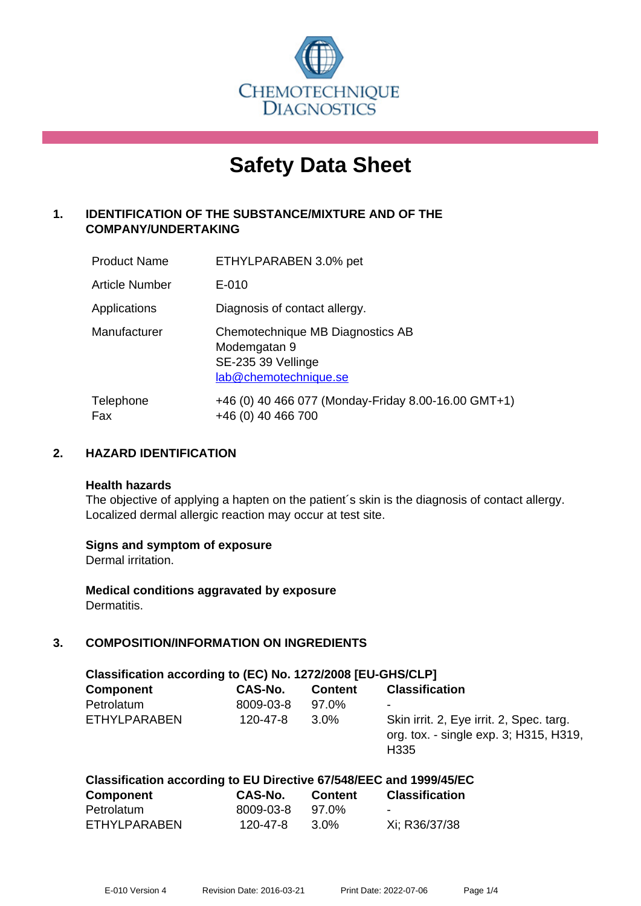

# **Safety Data Sheet**

# **1. IDENTIFICATION OF THE SUBSTANCE/MIXTURE AND OF THE COMPANY/UNDERTAKING**

| <b>Product Name</b> | ETHYLPARABEN 3.0% pet                                                                           |
|---------------------|-------------------------------------------------------------------------------------------------|
| Article Number      | E-010                                                                                           |
| Applications        | Diagnosis of contact allergy.                                                                   |
| Manufacturer        | Chemotechnique MB Diagnostics AB<br>Modemgatan 9<br>SE-235 39 Vellinge<br>lab@chemotechnique.se |
| Telephone<br>Fax    | +46 (0) 40 466 077 (Monday-Friday 8.00-16.00 GMT+1)<br>+46 (0) 40 466 700                       |

## **2. HAZARD IDENTIFICATION**

#### **Health hazards**

The objective of applying a hapten on the patient's skin is the diagnosis of contact allergy. Localized dermal allergic reaction may occur at test site.

#### **Signs and symptom of exposure**

Dermal irritation.

**Medical conditions aggravated by exposure** Dermatitis.

## **3. COMPOSITION/INFORMATION ON INGREDIENTS**

| Classification according to (EC) No. 1272/2008 [EU-GHS/CLP] |                |                |                                                                                                        |  |
|-------------------------------------------------------------|----------------|----------------|--------------------------------------------------------------------------------------------------------|--|
| <b>Component</b>                                            | CAS-No.        | <b>Content</b> | <b>Classification</b>                                                                                  |  |
| Petrolatum                                                  | 8009-03-8      | 97.0%          | ۰                                                                                                      |  |
| ETHYLPARABEN                                                | $120 - 47 - 8$ | 3.0%           | Skin irrit. 2, Eye irrit. 2, Spec. targ.<br>org. tox. - single exp. 3; H315, H319,<br>H <sub>335</sub> |  |

#### **Classification according to EU Directive 67/548/EEC and 1999/45/EC Component CAS-No. Content Classification**

| Component    | <b>UAS-NO.</b> | Content | <b>UIASSINGALION</b> |
|--------------|----------------|---------|----------------------|
| Petrolatum   | 8009-03-8      | 97.0%   | ۰                    |
| ETHYLPARABEN | 120-47-8       | 3.0%    | Xi; R36/37/38        |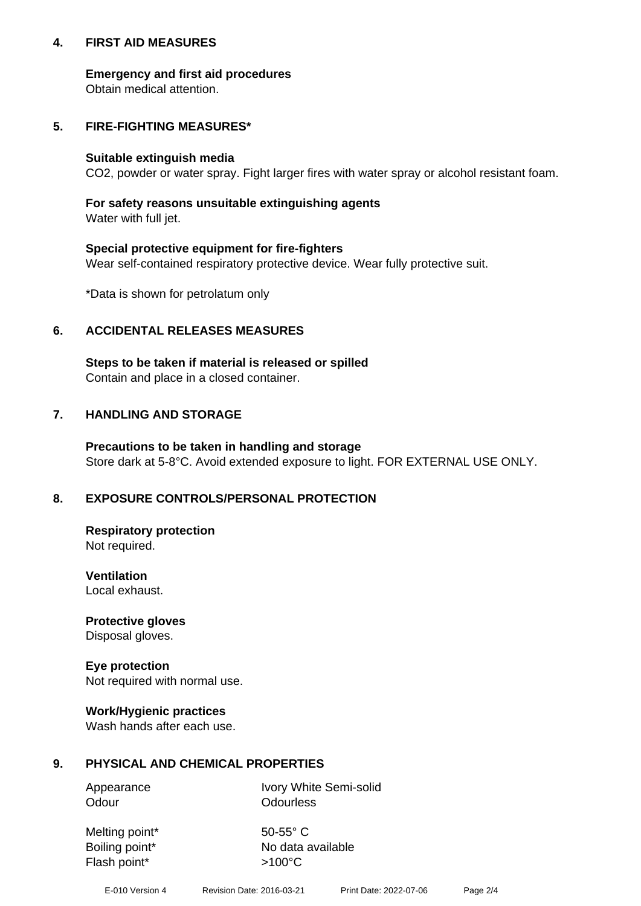## **4. FIRST AID MEASURES**

## **Emergency and first aid procedures**

Obtain medical attention.

# **5. FIRE-FIGHTING MEASURES\***

### **Suitable extinguish media**

CO2, powder or water spray. Fight larger fires with water spray or alcohol resistant foam.

# **For safety reasons unsuitable extinguishing agents**

Water with full jet.

## **Special protective equipment for fire-fighters**

Wear self-contained respiratory protective device. Wear fully protective suit.

\*Data is shown for petrolatum only

## **6. ACCIDENTAL RELEASES MEASURES**

**Steps to be taken if material is released or spilled** Contain and place in a closed container.

# **7. HANDLING AND STORAGE**

**Precautions to be taken in handling and storage** Store dark at 5-8°C. Avoid extended exposure to light. FOR EXTERNAL USE ONLY.

# **8. EXPOSURE CONTROLS/PERSONAL PROTECTION**

**Respiratory protection** Not required.

**Ventilation** Local exhaust.

**Protective gloves** Disposal gloves.

#### **Eye protection** Not required with normal use.

## **Work/Hygienic practices**

Wash hands after each use.

## **9. PHYSICAL AND CHEMICAL PROPERTIES**

Odour **Odourless** 

Appearance Ivory White Semi-solid

Melting point\* 50-55° C Flash point\*  $>100^{\circ}$ C

Boiling point\* No data available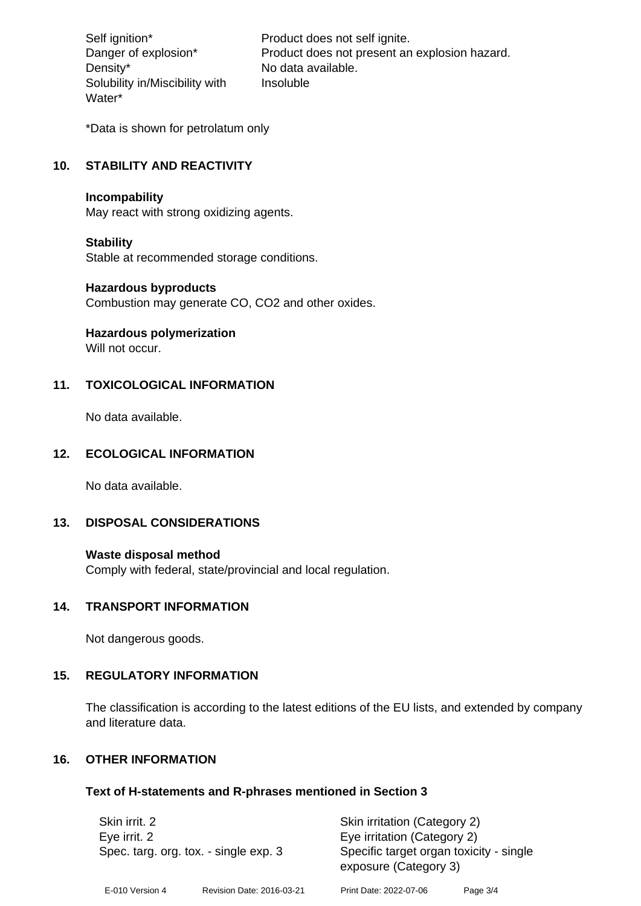Density\* No data available. Solubility in/Miscibility with Water\*

Self ignition\* Product does not self ignite. Danger of explosion\* Product does not present an explosion hazard. Insoluble

\*Data is shown for petrolatum only

# **10. STABILITY AND REACTIVITY**

#### **Incompability**

May react with strong oxidizing agents.

#### **Stability**

Stable at recommended storage conditions.

### **Hazardous byproducts**

Combustion may generate CO, CO2 and other oxides.

**Hazardous polymerization**

Will not occur.

# **11. TOXICOLOGICAL INFORMATION**

No data available.

# **12. ECOLOGICAL INFORMATION**

No data available.

## **13. DISPOSAL CONSIDERATIONS**

#### **Waste disposal method**

Comply with federal, state/provincial and local regulation.

#### **14. TRANSPORT INFORMATION**

Not dangerous goods.

## **15. REGULATORY INFORMATION**

The classification is according to the latest editions of the EU lists, and extended by company and literature data.

### **16. OTHER INFORMATION**

#### **Text of H-statements and R-phrases mentioned in Section 3**

| Skin irrit. 2<br>Eye irrit. 2<br>Spec. targ. org. tox. - single exp. 3 |                           | Skin irritation (Category 2)<br>Eye irritation (Category 2)<br>Specific target organ toxicity - single<br>exposure (Category 3) |          |
|------------------------------------------------------------------------|---------------------------|---------------------------------------------------------------------------------------------------------------------------------|----------|
| E-010 Version 4                                                        | Revision Date: 2016-03-21 | Print Date: 2022-07-06                                                                                                          | Page 3/4 |